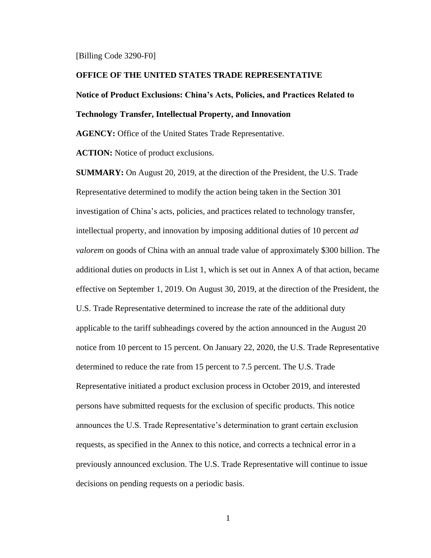#### [Billing Code 3290-F0]

### **OFFICE OF THE UNITED STATES TRADE REPRESENTATIVE**

# **Notice of Product Exclusions: China's Acts, Policies, and Practices Related to Technology Transfer, Intellectual Property, and Innovation**

**AGENCY:** Office of the United States Trade Representative.

**ACTION:** Notice of product exclusions.

**SUMMARY:** On August 20, 2019, at the direction of the President, the U.S. Trade Representative determined to modify the action being taken in the Section 301 investigation of China's acts, policies, and practices related to technology transfer, intellectual property, and innovation by imposing additional duties of 10 percent *ad valorem* on goods of China with an annual trade value of approximately \$300 billion. The additional duties on products in List 1, which is set out in Annex A of that action, became effective on September 1, 2019. On August 30, 2019, at the direction of the President, the U.S. Trade Representative determined to increase the rate of the additional duty applicable to the tariff subheadings covered by the action announced in the August 20 notice from 10 percent to 15 percent. On January 22, 2020, the U.S. Trade Representative determined to reduce the rate from 15 percent to 7.5 percent. The U.S. Trade Representative initiated a product exclusion process in October 2019, and interested persons have submitted requests for the exclusion of specific products. This notice announces the U.S. Trade Representative's determination to grant certain exclusion requests, as specified in the Annex to this notice, and corrects a technical error in a previously announced exclusion. The U.S. Trade Representative will continue to issue decisions on pending requests on a periodic basis.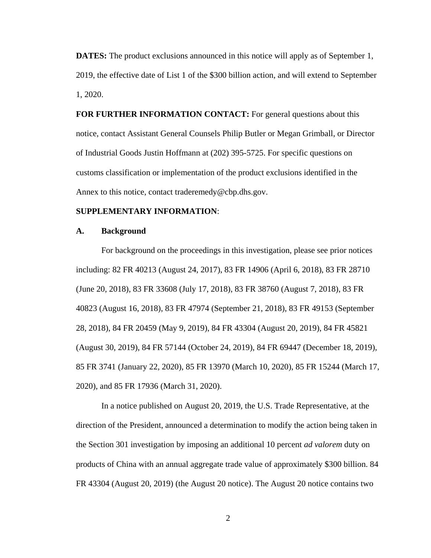**DATES:** The product exclusions announced in this notice will apply as of September 1, 2019, the effective date of List 1 of the \$300 billion action, and will extend to September 1, 2020.

**FOR FURTHER INFORMATION CONTACT:** For general questions about this notice, contact Assistant General Counsels Philip Butler or Megan Grimball, or Director of Industrial Goods Justin Hoffmann at (202) 395-5725. For specific questions on customs classification or implementation of the product exclusions identified in the Annex to this notice, contact [traderemedy@cbp.dhs.gov.](mailto:traderemedy@cbp.dhs.gov)

## **SUPPLEMENTARY INFORMATION**:

#### **A. Background**

For background on the proceedings in this investigation, please see prior notices including: 82 FR 40213 (August 24, 2017), 83 FR 14906 (April 6, 2018), 83 FR 28710 (June 20, 2018), 83 FR 33608 (July 17, 2018), 83 FR 38760 (August 7, 2018), 83 FR 40823 (August 16, 2018), 83 FR 47974 (September 21, 2018), 83 FR 49153 (September 28, 2018), 84 FR 20459 (May 9, 2019), 84 FR 43304 (August 20, 2019), 84 FR 45821 (August 30, 2019), 84 FR 57144 (October 24, 2019), 84 FR 69447 (December 18, 2019), 85 FR 3741 (January 22, 2020), 85 FR 13970 (March 10, 2020), 85 FR 15244 (March 17, 2020), and 85 FR 17936 (March 31, 2020).

In a notice published on August 20, 2019, the U.S. Trade Representative, at the direction of the President, announced a determination to modify the action being taken in the Section 301 investigation by imposing an additional 10 percent *ad valorem* duty on products of China with an annual aggregate trade value of approximately \$300 billion. 84 FR 43304 (August 20, 2019) (the August 20 notice). The August 20 notice contains two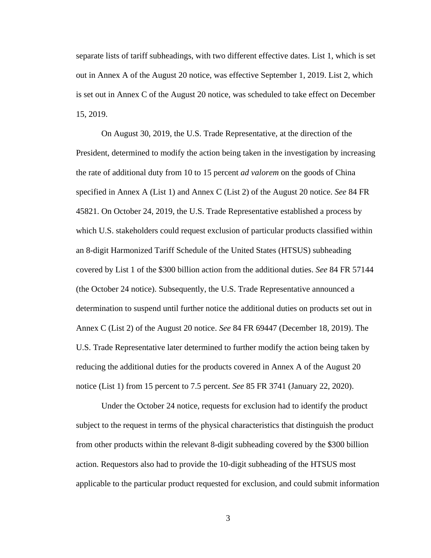separate lists of tariff subheadings, with two different effective dates. List 1, which is set out in Annex A of the August 20 notice, was effective September 1, 2019. List 2, which is set out in Annex C of the August 20 notice, was scheduled to take effect on December 15, 2019.

On August 30, 2019, the U.S. Trade Representative, at the direction of the President, determined to modify the action being taken in the investigation by increasing the rate of additional duty from 10 to 15 percent *ad valorem* on the goods of China specified in Annex A (List 1) and Annex C (List 2) of the August 20 notice. *See* 84 FR 45821. On October 24, 2019, the U.S. Trade Representative established a process by which U.S. stakeholders could request exclusion of particular products classified within an 8-digit Harmonized Tariff Schedule of the United States (HTSUS) subheading covered by List 1 of the \$300 billion action from the additional duties. *See* 84 FR 57144 (the October 24 notice). Subsequently, the U.S. Trade Representative announced a determination to suspend until further notice the additional duties on products set out in Annex C (List 2) of the August 20 notice. *See* 84 FR 69447 (December 18, 2019). The U.S. Trade Representative later determined to further modify the action being taken by reducing the additional duties for the products covered in Annex A of the August 20 notice (List 1) from 15 percent to 7.5 percent. *See* 85 FR 3741 (January 22, 2020).

Under the October 24 notice, requests for exclusion had to identify the product subject to the request in terms of the physical characteristics that distinguish the product from other products within the relevant 8-digit subheading covered by the \$300 billion action. Requestors also had to provide the 10-digit subheading of the HTSUS most applicable to the particular product requested for exclusion, and could submit information

3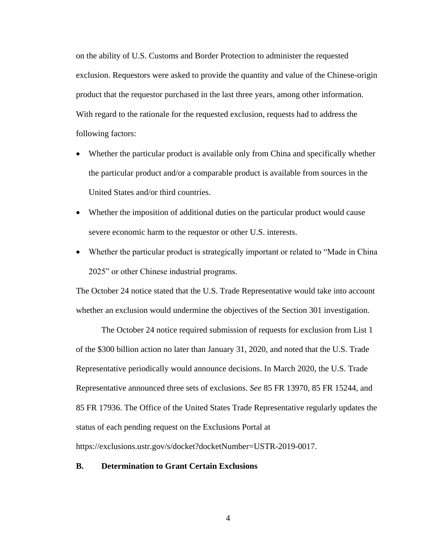on the ability of U.S. Customs and Border Protection to administer the requested exclusion. Requestors were asked to provide the quantity and value of the Chinese-origin product that the requestor purchased in the last three years, among other information. With regard to the rationale for the requested exclusion, requests had to address the following factors:

- Whether the particular product is available only from China and specifically whether the particular product and/or a comparable product is available from sources in the United States and/or third countries.
- Whether the imposition of additional duties on the particular product would cause severe economic harm to the requestor or other U.S. interests.
- Whether the particular product is strategically important or related to "Made in China" 2025" or other Chinese industrial programs.

The October 24 notice stated that the U.S. Trade Representative would take into account whether an exclusion would undermine the objectives of the Section 301 investigation.

The October 24 notice required submission of requests for exclusion from List 1 of the \$300 billion action no later than January 31, 2020, and noted that the U.S. Trade Representative periodically would announce decisions. In March 2020, the U.S. Trade Representative announced three sets of exclusions. *See* 85 FR 13970, 85 FR 15244, and 85 FR 17936. The Office of the United States Trade Representative regularly updates the status of each pending request on the Exclusions Portal at

[https://exclusions.ustr.gov/s/docket?docketNumber=USTR-2019-0017.](https://exclusions.ustr.gov/s/docket?docketNumber=USTR-2019-0017)

# **B. Determination to Grant Certain Exclusions**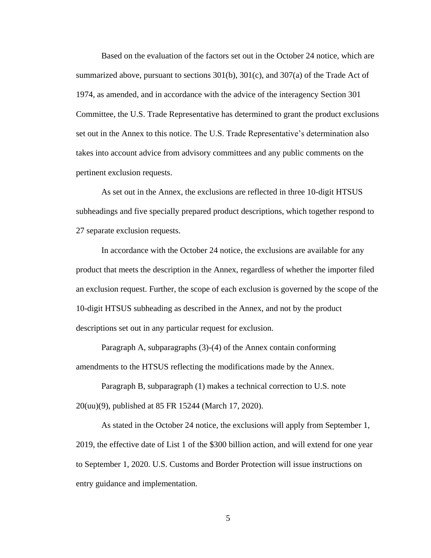Based on the evaluation of the factors set out in the October 24 notice, which are summarized above, pursuant to sections 301(b), 301(c), and 307(a) of the Trade Act of 1974, as amended, and in accordance with the advice of the interagency Section 301 Committee, the U.S. Trade Representative has determined to grant the product exclusions set out in the Annex to this notice. The U.S. Trade Representative's determination also takes into account advice from advisory committees and any public comments on the pertinent exclusion requests.

As set out in the Annex, the exclusions are reflected in three 10-digit HTSUS subheadings and five specially prepared product descriptions, which together respond to 27 separate exclusion requests.

In accordance with the October 24 notice, the exclusions are available for any product that meets the description in the Annex, regardless of whether the importer filed an exclusion request. Further, the scope of each exclusion is governed by the scope of the 10-digit HTSUS subheading as described in the Annex, and not by the product descriptions set out in any particular request for exclusion.

Paragraph A, subparagraphs (3)-(4) of the Annex contain conforming amendments to the HTSUS reflecting the modifications made by the Annex.

Paragraph B, subparagraph (1) makes a technical correction to U.S. note 20(uu)(9), published at 85 FR 15244 (March 17, 2020).

As stated in the October 24 notice, the exclusions will apply from September 1, 2019, the effective date of List 1 of the \$300 billion action, and will extend for one year to September 1, 2020. U.S. Customs and Border Protection will issue instructions on entry guidance and implementation.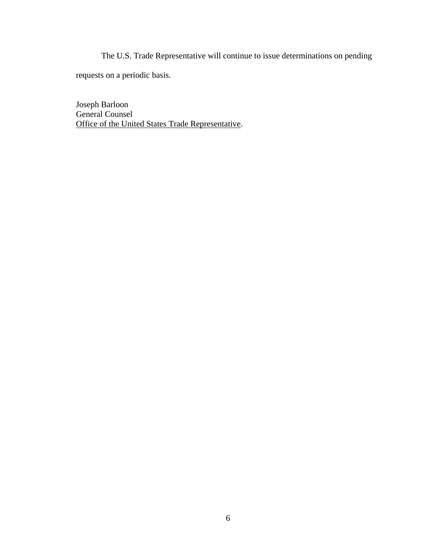The U.S. Trade Representative will continue to issue determinations on pending

requests on a periodic basis.

Joseph Barloon General Counsel Office of the United States Trade Representative.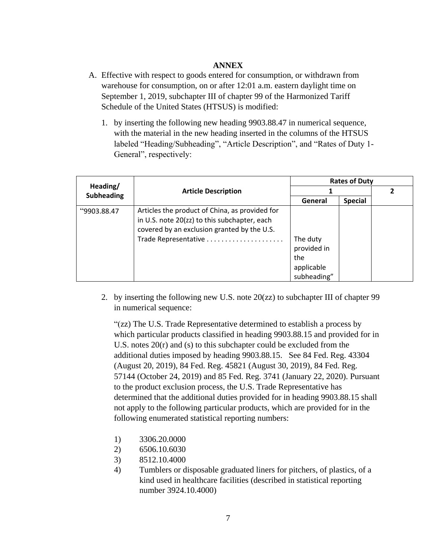## **ANNEX**

- A. Effective with respect to goods entered for consumption, or withdrawn from warehouse for consumption, on or after 12:01 a.m. eastern daylight time on September 1, 2019, subchapter III of chapter 99 of the Harmonized Tariff Schedule of the United States (HTSUS) is modified:
	- 1. by inserting the following new heading 9903.88.47 in numerical sequence, with the material in the new heading inserted in the columns of the HTSUS labeled "Heading/Subheading", "Article Description", and "Rates of Duty 1- General", respectively:

| Heading/<br><b>Subheading</b> | <b>Article Description</b>                     | <b>Rates of Duty</b> |                |  |
|-------------------------------|------------------------------------------------|----------------------|----------------|--|
|                               |                                                |                      |                |  |
|                               |                                                | General              | <b>Special</b> |  |
| "9903.88.47                   | Articles the product of China, as provided for |                      |                |  |
|                               | in U.S. note 20(zz) to this subchapter, each   |                      |                |  |
|                               | covered by an exclusion granted by the U.S.    |                      |                |  |
|                               | Trade Representative                           | The duty             |                |  |
|                               |                                                | provided in          |                |  |
|                               |                                                | the                  |                |  |
|                               |                                                | applicable           |                |  |
|                               |                                                | subheading"          |                |  |

2. by inserting the following new U.S. note 20(zz) to subchapter III of chapter 99 in numerical sequence:

"(zz) The U.S. Trade Representative determined to establish a process by which particular products classified in heading 9903.88.15 and provided for in U.S. notes 20(r) and (s) to this subchapter could be excluded from the additional duties imposed by heading 9903.88.15. See 84 Fed. Reg. 43304 (August 20, 2019), 84 Fed. Reg. 45821 (August 30, 2019), 84 Fed. Reg. 57144 (October 24, 2019) and 85 Fed. Reg. 3741 (January 22, 2020). Pursuant to the product exclusion process, the U.S. Trade Representative has determined that the additional duties provided for in heading 9903.88.15 shall not apply to the following particular products, which are provided for in the following enumerated statistical reporting numbers:

- 1) 3306.20.0000
- 2) 6506.10.6030
- 3) 8512.10.4000
- 4) Tumblers or disposable graduated liners for pitchers, of plastics, of a kind used in healthcare facilities (described in statistical reporting number 3924.10.4000)